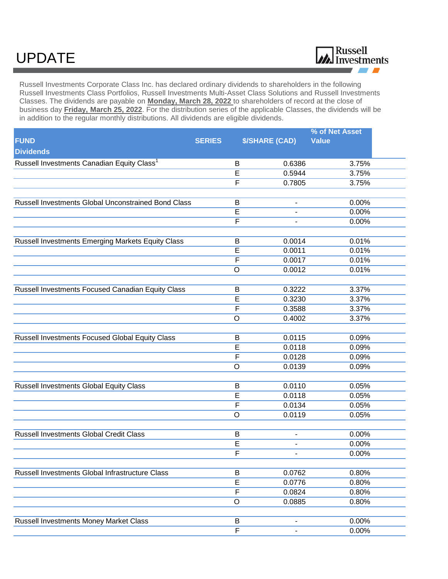## UPDATE



 Classes. The dividends are payable on **Monday, March 28, 2022** to shareholders of record at the close of ----------------------------~· Russell Investments Corporate Class Inc. has declared ordinary dividends to shareholders in the following Russell Investments Class Portfolios, Russell Investments Multi-Asset Class Solutions and Russell Investments business day **Friday, March 25, 2022**. For the distribution series of the applicable Classes, the dividends will be in addition to the regular monthly distributions. All dividends are eligible dividends.

| <b>SERIES</b> | <b>\$/SHARE (CAD)</b> | <b>Value</b>                                                                                                                                                                                                                                                                                                                                                                   |                                                                                                          |
|---------------|-----------------------|--------------------------------------------------------------------------------------------------------------------------------------------------------------------------------------------------------------------------------------------------------------------------------------------------------------------------------------------------------------------------------|----------------------------------------------------------------------------------------------------------|
|               |                       |                                                                                                                                                                                                                                                                                                                                                                                |                                                                                                          |
|               | 0.6386                | 3.75%                                                                                                                                                                                                                                                                                                                                                                          |                                                                                                          |
|               | 0.5944                |                                                                                                                                                                                                                                                                                                                                                                                |                                                                                                          |
|               | 0.7805                | 3.75%                                                                                                                                                                                                                                                                                                                                                                          |                                                                                                          |
|               |                       | 0.00%                                                                                                                                                                                                                                                                                                                                                                          |                                                                                                          |
|               |                       | 0.00%                                                                                                                                                                                                                                                                                                                                                                          |                                                                                                          |
|               |                       | 0.00%                                                                                                                                                                                                                                                                                                                                                                          |                                                                                                          |
|               |                       |                                                                                                                                                                                                                                                                                                                                                                                |                                                                                                          |
|               |                       |                                                                                                                                                                                                                                                                                                                                                                                |                                                                                                          |
|               |                       |                                                                                                                                                                                                                                                                                                                                                                                |                                                                                                          |
|               | 0.0012                | 0.01%                                                                                                                                                                                                                                                                                                                                                                          |                                                                                                          |
|               | 0.3222                | 3.37%                                                                                                                                                                                                                                                                                                                                                                          |                                                                                                          |
|               | 0.3230                |                                                                                                                                                                                                                                                                                                                                                                                |                                                                                                          |
|               |                       |                                                                                                                                                                                                                                                                                                                                                                                |                                                                                                          |
|               | 0.4002                | 3.37%                                                                                                                                                                                                                                                                                                                                                                          |                                                                                                          |
|               | 0.0115                | 0.09%                                                                                                                                                                                                                                                                                                                                                                          |                                                                                                          |
|               | 0.0118                | 0.09%                                                                                                                                                                                                                                                                                                                                                                          |                                                                                                          |
|               | 0.0128                | 0.09%                                                                                                                                                                                                                                                                                                                                                                          |                                                                                                          |
|               | 0.0139                | 0.09%                                                                                                                                                                                                                                                                                                                                                                          |                                                                                                          |
|               | 0.0110                | 0.05%                                                                                                                                                                                                                                                                                                                                                                          |                                                                                                          |
|               |                       | 0.05%                                                                                                                                                                                                                                                                                                                                                                          |                                                                                                          |
|               |                       |                                                                                                                                                                                                                                                                                                                                                                                |                                                                                                          |
|               | 0.0119                | 0.05%                                                                                                                                                                                                                                                                                                                                                                          |                                                                                                          |
|               |                       |                                                                                                                                                                                                                                                                                                                                                                                |                                                                                                          |
|               |                       |                                                                                                                                                                                                                                                                                                                                                                                |                                                                                                          |
|               |                       | 0.00%                                                                                                                                                                                                                                                                                                                                                                          |                                                                                                          |
|               |                       |                                                                                                                                                                                                                                                                                                                                                                                |                                                                                                          |
|               |                       |                                                                                                                                                                                                                                                                                                                                                                                |                                                                                                          |
|               |                       |                                                                                                                                                                                                                                                                                                                                                                                |                                                                                                          |
|               | 0.0885                | 0.80%                                                                                                                                                                                                                                                                                                                                                                          |                                                                                                          |
|               |                       | 0.00%                                                                                                                                                                                                                                                                                                                                                                          |                                                                                                          |
|               |                       | 0.00%                                                                                                                                                                                                                                                                                                                                                                          |                                                                                                          |
|               |                       | B<br>$\overline{E}$<br>F<br>B<br>E<br>$\overline{F}$<br>0.0014<br>B<br>E<br>0.0011<br>$\mathsf F$<br>0.0017<br>$\circ$<br>B<br>E<br>F<br>0.3588<br>$\circ$<br>B<br>E<br>F<br>$\circ$<br>B<br>E<br>0.0118<br>F<br>0.0134<br>$\circ$<br>B<br>E<br>$\overline{\mathsf{F}}$<br>0.0762<br>B<br>$\mathsf E$<br>0.0776<br>$\mathsf F$<br>0.0824<br>$\mathsf O$<br>B<br>$\overline{F}$ | 3.75%<br>0.01%<br>0.01%<br>0.01%<br>3.37%<br>3.37%<br>0.05%<br>0.00%<br>0.00%<br>0.80%<br>0.80%<br>0.80% |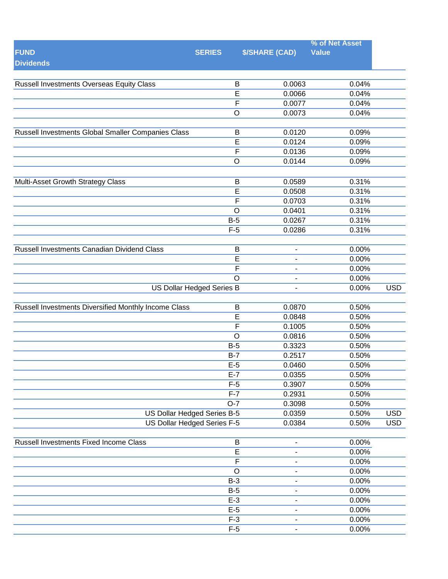| <b>FUND</b><br><b>Dividends</b>                      | <b>SERIES</b>               | <b>\$/SHARE (CAD)</b>        | % of Net Asset<br><b>Value</b> |            |
|------------------------------------------------------|-----------------------------|------------------------------|--------------------------------|------------|
| Russell Investments Overseas Equity Class            | B                           | 0.0063                       | 0.04%                          |            |
|                                                      | E                           | 0.0066                       | 0.04%                          |            |
|                                                      | $\overline{F}$              | 0.0077                       | 0.04%                          |            |
|                                                      | $\circ$                     | 0.0073                       | 0.04%                          |            |
|                                                      |                             |                              |                                |            |
| Russell Investments Global Smaller Companies Class   | B                           | 0.0120                       | 0.09%                          |            |
|                                                      | $\overline{E}$              | 0.0124                       | 0.09%                          |            |
|                                                      | $\overline{F}$              | 0.0136                       | 0.09%                          |            |
|                                                      | $\circ$                     | 0.0144                       | 0.09%                          |            |
|                                                      |                             |                              |                                |            |
| Multi-Asset Growth Strategy Class                    | $\sf B$                     | 0.0589                       | 0.31%                          |            |
|                                                      | E                           | 0.0508                       | 0.31%                          |            |
|                                                      | F                           | 0.0703                       | 0.31%                          |            |
|                                                      | $\circ$                     | 0.0401                       | 0.31%                          |            |
|                                                      | $B-5$                       | 0.0267                       | 0.31%                          |            |
|                                                      | $F-5$                       | 0.0286                       | 0.31%                          |            |
|                                                      |                             |                              |                                |            |
| Russell Investments Canadian Dividend Class          | B                           | $\qquad \qquad \blacksquare$ | 0.00%                          |            |
|                                                      | $\overline{E}$              |                              | 0.00%                          |            |
|                                                      | F                           |                              | 0.00%                          |            |
|                                                      | $\circ$                     |                              | 0.00%                          |            |
|                                                      | US Dollar Hedged Series B   |                              | 0.00%                          | <b>USD</b> |
|                                                      |                             |                              |                                |            |
| Russell Investments Diversified Monthly Income Class | B                           | 0.0870                       | 0.50%                          |            |
|                                                      | E                           | 0.0848                       | 0.50%                          |            |
|                                                      | F                           | 0.1005                       | 0.50%                          |            |
|                                                      | $\circ$                     | 0.0816                       | 0.50%                          |            |
|                                                      | $B-5$                       | 0.3323                       | 0.50%                          |            |
|                                                      | $B-7$                       | 0.2517                       | 0.50%                          |            |
|                                                      | $E-5$                       | 0.0460                       | 0.50%                          |            |
|                                                      | $E-7$                       | 0.0355                       | 0.50%                          |            |
|                                                      | $F-5$                       | 0.3907                       | 0.50%                          |            |
|                                                      | $F - 7$                     | 0.2931                       | 0.50%                          |            |
|                                                      | $O-7$                       | 0.3098                       | 0.50%                          |            |
|                                                      | US Dollar Hedged Series B-5 | 0.0359                       | 0.50%                          | <b>USD</b> |
|                                                      | US Dollar Hedged Series F-5 | 0.0384                       | 0.50%                          | <b>USD</b> |
|                                                      |                             |                              |                                |            |
| Russell Investments Fixed Income Class               | $\sf B$                     | $\overline{\phantom{0}}$     | 0.00%                          |            |
|                                                      | E                           |                              | 0.00%                          |            |
|                                                      | F                           |                              | 0.00%                          |            |
|                                                      | $\overline{O}$              |                              | 0.00%                          |            |
|                                                      | $B-3$                       | $\qquad \qquad \blacksquare$ | 0.00%                          |            |
|                                                      | $B-5$                       | -                            | 0.00%                          |            |
|                                                      | $E-3$                       | ٠                            | 0.00%                          |            |
|                                                      | $E-5$                       |                              | 0.00%                          |            |
|                                                      | $F-3$                       |                              | 0.00%                          |            |
|                                                      | $F-5$                       |                              | 0.00%                          |            |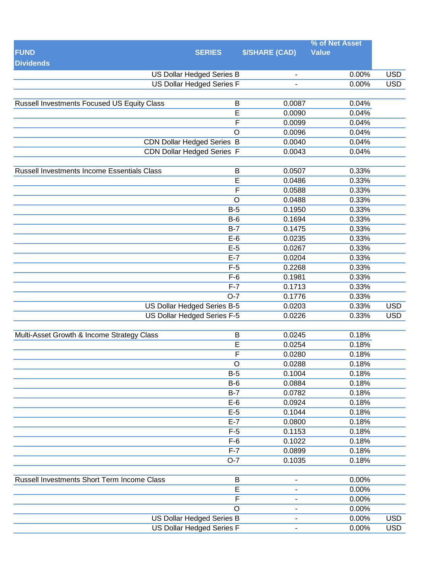| <b>\$/SHARE (CAD)</b><br><b>SERIES</b><br><b>Value</b><br><b>Dividends</b><br><b>USD</b><br>US Dollar Hedged Series B<br>0.00%<br><b>US Dollar Hedged Series F</b><br><b>USD</b><br>0.00%<br>Russell Investments Focused US Equity Class<br>B<br>0.0087<br>0.04%<br>$\overline{\mathsf{E}}$<br>0.04%<br>0.0090<br>F<br>0.04%<br>0.0099<br>$\circ$<br>0.0096<br>0.04%<br><b>CDN Dollar Hedged Series B</b><br>0.0040<br>0.04%<br>CDN Dollar Hedged Series F<br>0.04%<br>0.0043<br>0.33%<br>Russell Investments Income Essentials Class<br>B<br>0.0507<br>E<br>0.0486<br>0.33%<br>$\overline{F}$<br>0.0588<br>0.33%<br>$\circ$<br>0.0488<br>0.33%<br>$B-5$<br>0.1950<br>0.33%<br>0.1694<br>$B-6$<br>0.33%<br>0.1475<br>0.33%<br>$B-7$<br>$E-6$<br>0.0235<br>0.33%<br>$E-5$<br>0.0267<br>0.33%<br>0.33%<br>$E-7$<br>0.0204<br>$F-5$<br>0.2268<br>0.33%<br>$F-6$<br>0.1981<br>0.33%<br>$F-7$<br>0.1713<br>0.33%<br>$O-7$<br>0.1776<br>0.33%<br><b>US Dollar Hedged Series B-5</b><br>0.33%<br><b>USD</b><br>0.0203<br>US Dollar Hedged Series F-5<br><b>USD</b><br>0.0226<br>0.33%<br>Multi-Asset Growth & Income Strategy Class<br>B<br>0.0245<br>0.18%<br>0.18%<br>E<br>0.0254<br>F<br>0.18%<br>0.0280<br>$\mathsf O$<br>0.0288<br>0.18%<br>0.1004<br>0.18%<br>$B-5$<br>$B-6$<br>0.0884<br>0.18%<br>$B-7$<br>0.0782<br>0.18%<br>$E-6$<br>0.18%<br>0.0924<br>$E-5$<br>0.1044<br>0.18%<br>$E-7$<br>0.18%<br>0.0800<br>$F-5$<br>0.1153<br>0.18%<br>$F-6$<br>0.1022<br>0.18%<br>$F-7$<br>0.18%<br>0.0899<br>$O-7$<br>0.1035<br>0.18%<br>Russell Investments Short Term Income Class<br>B<br>0.00%<br>Ξ.<br>$\overline{E}$<br>0.00%<br>$\mathsf F$<br>0.00%<br>-<br>$\circ$<br>0.00%<br>-<br>US Dollar Hedged Series B<br>0.00%<br><b>USD</b><br>-<br><b>USD</b><br>US Dollar Hedged Series F<br>0.00% |             |  | % of Net Asset |  |
|-------------------------------------------------------------------------------------------------------------------------------------------------------------------------------------------------------------------------------------------------------------------------------------------------------------------------------------------------------------------------------------------------------------------------------------------------------------------------------------------------------------------------------------------------------------------------------------------------------------------------------------------------------------------------------------------------------------------------------------------------------------------------------------------------------------------------------------------------------------------------------------------------------------------------------------------------------------------------------------------------------------------------------------------------------------------------------------------------------------------------------------------------------------------------------------------------------------------------------------------------------------------------------------------------------------------------------------------------------------------------------------------------------------------------------------------------------------------------------------------------------------------------------------------------------------------------------------------------------------------------------------------------------------------------------------------------------------------------------------------------------------------------------------------------|-------------|--|----------------|--|
|                                                                                                                                                                                                                                                                                                                                                                                                                                                                                                                                                                                                                                                                                                                                                                                                                                                                                                                                                                                                                                                                                                                                                                                                                                                                                                                                                                                                                                                                                                                                                                                                                                                                                                                                                                                                 | <b>FUND</b> |  |                |  |
|                                                                                                                                                                                                                                                                                                                                                                                                                                                                                                                                                                                                                                                                                                                                                                                                                                                                                                                                                                                                                                                                                                                                                                                                                                                                                                                                                                                                                                                                                                                                                                                                                                                                                                                                                                                                 |             |  |                |  |
|                                                                                                                                                                                                                                                                                                                                                                                                                                                                                                                                                                                                                                                                                                                                                                                                                                                                                                                                                                                                                                                                                                                                                                                                                                                                                                                                                                                                                                                                                                                                                                                                                                                                                                                                                                                                 |             |  |                |  |
|                                                                                                                                                                                                                                                                                                                                                                                                                                                                                                                                                                                                                                                                                                                                                                                                                                                                                                                                                                                                                                                                                                                                                                                                                                                                                                                                                                                                                                                                                                                                                                                                                                                                                                                                                                                                 |             |  |                |  |
|                                                                                                                                                                                                                                                                                                                                                                                                                                                                                                                                                                                                                                                                                                                                                                                                                                                                                                                                                                                                                                                                                                                                                                                                                                                                                                                                                                                                                                                                                                                                                                                                                                                                                                                                                                                                 |             |  |                |  |
|                                                                                                                                                                                                                                                                                                                                                                                                                                                                                                                                                                                                                                                                                                                                                                                                                                                                                                                                                                                                                                                                                                                                                                                                                                                                                                                                                                                                                                                                                                                                                                                                                                                                                                                                                                                                 |             |  |                |  |
|                                                                                                                                                                                                                                                                                                                                                                                                                                                                                                                                                                                                                                                                                                                                                                                                                                                                                                                                                                                                                                                                                                                                                                                                                                                                                                                                                                                                                                                                                                                                                                                                                                                                                                                                                                                                 |             |  |                |  |
|                                                                                                                                                                                                                                                                                                                                                                                                                                                                                                                                                                                                                                                                                                                                                                                                                                                                                                                                                                                                                                                                                                                                                                                                                                                                                                                                                                                                                                                                                                                                                                                                                                                                                                                                                                                                 |             |  |                |  |
|                                                                                                                                                                                                                                                                                                                                                                                                                                                                                                                                                                                                                                                                                                                                                                                                                                                                                                                                                                                                                                                                                                                                                                                                                                                                                                                                                                                                                                                                                                                                                                                                                                                                                                                                                                                                 |             |  |                |  |
|                                                                                                                                                                                                                                                                                                                                                                                                                                                                                                                                                                                                                                                                                                                                                                                                                                                                                                                                                                                                                                                                                                                                                                                                                                                                                                                                                                                                                                                                                                                                                                                                                                                                                                                                                                                                 |             |  |                |  |
|                                                                                                                                                                                                                                                                                                                                                                                                                                                                                                                                                                                                                                                                                                                                                                                                                                                                                                                                                                                                                                                                                                                                                                                                                                                                                                                                                                                                                                                                                                                                                                                                                                                                                                                                                                                                 |             |  |                |  |
|                                                                                                                                                                                                                                                                                                                                                                                                                                                                                                                                                                                                                                                                                                                                                                                                                                                                                                                                                                                                                                                                                                                                                                                                                                                                                                                                                                                                                                                                                                                                                                                                                                                                                                                                                                                                 |             |  |                |  |
|                                                                                                                                                                                                                                                                                                                                                                                                                                                                                                                                                                                                                                                                                                                                                                                                                                                                                                                                                                                                                                                                                                                                                                                                                                                                                                                                                                                                                                                                                                                                                                                                                                                                                                                                                                                                 |             |  |                |  |
|                                                                                                                                                                                                                                                                                                                                                                                                                                                                                                                                                                                                                                                                                                                                                                                                                                                                                                                                                                                                                                                                                                                                                                                                                                                                                                                                                                                                                                                                                                                                                                                                                                                                                                                                                                                                 |             |  |                |  |
|                                                                                                                                                                                                                                                                                                                                                                                                                                                                                                                                                                                                                                                                                                                                                                                                                                                                                                                                                                                                                                                                                                                                                                                                                                                                                                                                                                                                                                                                                                                                                                                                                                                                                                                                                                                                 |             |  |                |  |
|                                                                                                                                                                                                                                                                                                                                                                                                                                                                                                                                                                                                                                                                                                                                                                                                                                                                                                                                                                                                                                                                                                                                                                                                                                                                                                                                                                                                                                                                                                                                                                                                                                                                                                                                                                                                 |             |  |                |  |
|                                                                                                                                                                                                                                                                                                                                                                                                                                                                                                                                                                                                                                                                                                                                                                                                                                                                                                                                                                                                                                                                                                                                                                                                                                                                                                                                                                                                                                                                                                                                                                                                                                                                                                                                                                                                 |             |  |                |  |
|                                                                                                                                                                                                                                                                                                                                                                                                                                                                                                                                                                                                                                                                                                                                                                                                                                                                                                                                                                                                                                                                                                                                                                                                                                                                                                                                                                                                                                                                                                                                                                                                                                                                                                                                                                                                 |             |  |                |  |
|                                                                                                                                                                                                                                                                                                                                                                                                                                                                                                                                                                                                                                                                                                                                                                                                                                                                                                                                                                                                                                                                                                                                                                                                                                                                                                                                                                                                                                                                                                                                                                                                                                                                                                                                                                                                 |             |  |                |  |
|                                                                                                                                                                                                                                                                                                                                                                                                                                                                                                                                                                                                                                                                                                                                                                                                                                                                                                                                                                                                                                                                                                                                                                                                                                                                                                                                                                                                                                                                                                                                                                                                                                                                                                                                                                                                 |             |  |                |  |
|                                                                                                                                                                                                                                                                                                                                                                                                                                                                                                                                                                                                                                                                                                                                                                                                                                                                                                                                                                                                                                                                                                                                                                                                                                                                                                                                                                                                                                                                                                                                                                                                                                                                                                                                                                                                 |             |  |                |  |
|                                                                                                                                                                                                                                                                                                                                                                                                                                                                                                                                                                                                                                                                                                                                                                                                                                                                                                                                                                                                                                                                                                                                                                                                                                                                                                                                                                                                                                                                                                                                                                                                                                                                                                                                                                                                 |             |  |                |  |
|                                                                                                                                                                                                                                                                                                                                                                                                                                                                                                                                                                                                                                                                                                                                                                                                                                                                                                                                                                                                                                                                                                                                                                                                                                                                                                                                                                                                                                                                                                                                                                                                                                                                                                                                                                                                 |             |  |                |  |
|                                                                                                                                                                                                                                                                                                                                                                                                                                                                                                                                                                                                                                                                                                                                                                                                                                                                                                                                                                                                                                                                                                                                                                                                                                                                                                                                                                                                                                                                                                                                                                                                                                                                                                                                                                                                 |             |  |                |  |
|                                                                                                                                                                                                                                                                                                                                                                                                                                                                                                                                                                                                                                                                                                                                                                                                                                                                                                                                                                                                                                                                                                                                                                                                                                                                                                                                                                                                                                                                                                                                                                                                                                                                                                                                                                                                 |             |  |                |  |
|                                                                                                                                                                                                                                                                                                                                                                                                                                                                                                                                                                                                                                                                                                                                                                                                                                                                                                                                                                                                                                                                                                                                                                                                                                                                                                                                                                                                                                                                                                                                                                                                                                                                                                                                                                                                 |             |  |                |  |
|                                                                                                                                                                                                                                                                                                                                                                                                                                                                                                                                                                                                                                                                                                                                                                                                                                                                                                                                                                                                                                                                                                                                                                                                                                                                                                                                                                                                                                                                                                                                                                                                                                                                                                                                                                                                 |             |  |                |  |
|                                                                                                                                                                                                                                                                                                                                                                                                                                                                                                                                                                                                                                                                                                                                                                                                                                                                                                                                                                                                                                                                                                                                                                                                                                                                                                                                                                                                                                                                                                                                                                                                                                                                                                                                                                                                 |             |  |                |  |
|                                                                                                                                                                                                                                                                                                                                                                                                                                                                                                                                                                                                                                                                                                                                                                                                                                                                                                                                                                                                                                                                                                                                                                                                                                                                                                                                                                                                                                                                                                                                                                                                                                                                                                                                                                                                 |             |  |                |  |
|                                                                                                                                                                                                                                                                                                                                                                                                                                                                                                                                                                                                                                                                                                                                                                                                                                                                                                                                                                                                                                                                                                                                                                                                                                                                                                                                                                                                                                                                                                                                                                                                                                                                                                                                                                                                 |             |  |                |  |
|                                                                                                                                                                                                                                                                                                                                                                                                                                                                                                                                                                                                                                                                                                                                                                                                                                                                                                                                                                                                                                                                                                                                                                                                                                                                                                                                                                                                                                                                                                                                                                                                                                                                                                                                                                                                 |             |  |                |  |
|                                                                                                                                                                                                                                                                                                                                                                                                                                                                                                                                                                                                                                                                                                                                                                                                                                                                                                                                                                                                                                                                                                                                                                                                                                                                                                                                                                                                                                                                                                                                                                                                                                                                                                                                                                                                 |             |  |                |  |
|                                                                                                                                                                                                                                                                                                                                                                                                                                                                                                                                                                                                                                                                                                                                                                                                                                                                                                                                                                                                                                                                                                                                                                                                                                                                                                                                                                                                                                                                                                                                                                                                                                                                                                                                                                                                 |             |  |                |  |
|                                                                                                                                                                                                                                                                                                                                                                                                                                                                                                                                                                                                                                                                                                                                                                                                                                                                                                                                                                                                                                                                                                                                                                                                                                                                                                                                                                                                                                                                                                                                                                                                                                                                                                                                                                                                 |             |  |                |  |
|                                                                                                                                                                                                                                                                                                                                                                                                                                                                                                                                                                                                                                                                                                                                                                                                                                                                                                                                                                                                                                                                                                                                                                                                                                                                                                                                                                                                                                                                                                                                                                                                                                                                                                                                                                                                 |             |  |                |  |
|                                                                                                                                                                                                                                                                                                                                                                                                                                                                                                                                                                                                                                                                                                                                                                                                                                                                                                                                                                                                                                                                                                                                                                                                                                                                                                                                                                                                                                                                                                                                                                                                                                                                                                                                                                                                 |             |  |                |  |
|                                                                                                                                                                                                                                                                                                                                                                                                                                                                                                                                                                                                                                                                                                                                                                                                                                                                                                                                                                                                                                                                                                                                                                                                                                                                                                                                                                                                                                                                                                                                                                                                                                                                                                                                                                                                 |             |  |                |  |
|                                                                                                                                                                                                                                                                                                                                                                                                                                                                                                                                                                                                                                                                                                                                                                                                                                                                                                                                                                                                                                                                                                                                                                                                                                                                                                                                                                                                                                                                                                                                                                                                                                                                                                                                                                                                 |             |  |                |  |
|                                                                                                                                                                                                                                                                                                                                                                                                                                                                                                                                                                                                                                                                                                                                                                                                                                                                                                                                                                                                                                                                                                                                                                                                                                                                                                                                                                                                                                                                                                                                                                                                                                                                                                                                                                                                 |             |  |                |  |
|                                                                                                                                                                                                                                                                                                                                                                                                                                                                                                                                                                                                                                                                                                                                                                                                                                                                                                                                                                                                                                                                                                                                                                                                                                                                                                                                                                                                                                                                                                                                                                                                                                                                                                                                                                                                 |             |  |                |  |
|                                                                                                                                                                                                                                                                                                                                                                                                                                                                                                                                                                                                                                                                                                                                                                                                                                                                                                                                                                                                                                                                                                                                                                                                                                                                                                                                                                                                                                                                                                                                                                                                                                                                                                                                                                                                 |             |  |                |  |
|                                                                                                                                                                                                                                                                                                                                                                                                                                                                                                                                                                                                                                                                                                                                                                                                                                                                                                                                                                                                                                                                                                                                                                                                                                                                                                                                                                                                                                                                                                                                                                                                                                                                                                                                                                                                 |             |  |                |  |
|                                                                                                                                                                                                                                                                                                                                                                                                                                                                                                                                                                                                                                                                                                                                                                                                                                                                                                                                                                                                                                                                                                                                                                                                                                                                                                                                                                                                                                                                                                                                                                                                                                                                                                                                                                                                 |             |  |                |  |
|                                                                                                                                                                                                                                                                                                                                                                                                                                                                                                                                                                                                                                                                                                                                                                                                                                                                                                                                                                                                                                                                                                                                                                                                                                                                                                                                                                                                                                                                                                                                                                                                                                                                                                                                                                                                 |             |  |                |  |
|                                                                                                                                                                                                                                                                                                                                                                                                                                                                                                                                                                                                                                                                                                                                                                                                                                                                                                                                                                                                                                                                                                                                                                                                                                                                                                                                                                                                                                                                                                                                                                                                                                                                                                                                                                                                 |             |  |                |  |
|                                                                                                                                                                                                                                                                                                                                                                                                                                                                                                                                                                                                                                                                                                                                                                                                                                                                                                                                                                                                                                                                                                                                                                                                                                                                                                                                                                                                                                                                                                                                                                                                                                                                                                                                                                                                 |             |  |                |  |
|                                                                                                                                                                                                                                                                                                                                                                                                                                                                                                                                                                                                                                                                                                                                                                                                                                                                                                                                                                                                                                                                                                                                                                                                                                                                                                                                                                                                                                                                                                                                                                                                                                                                                                                                                                                                 |             |  |                |  |
|                                                                                                                                                                                                                                                                                                                                                                                                                                                                                                                                                                                                                                                                                                                                                                                                                                                                                                                                                                                                                                                                                                                                                                                                                                                                                                                                                                                                                                                                                                                                                                                                                                                                                                                                                                                                 |             |  |                |  |
|                                                                                                                                                                                                                                                                                                                                                                                                                                                                                                                                                                                                                                                                                                                                                                                                                                                                                                                                                                                                                                                                                                                                                                                                                                                                                                                                                                                                                                                                                                                                                                                                                                                                                                                                                                                                 |             |  |                |  |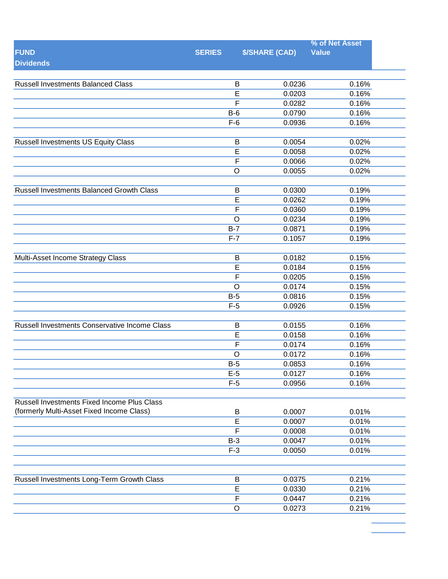| <b>FUND</b><br><b>Dividends</b>               | <b>SERIES</b>           | <b>\$/SHARE (CAD)</b> | % of Net Asset<br><b>Value</b> |
|-----------------------------------------------|-------------------------|-----------------------|--------------------------------|
| <b>Russell Investments Balanced Class</b>     | B                       | 0.0236                | 0.16%                          |
|                                               | $\overline{E}$          | 0.0203                | 0.16%                          |
|                                               | F                       | 0.0282                | 0.16%                          |
|                                               | $B-6$                   | 0.0790                | 0.16%                          |
|                                               | $F-6$                   | 0.0936                | 0.16%                          |
|                                               |                         |                       |                                |
| <b>Russell Investments US Equity Class</b>    | B                       | 0.0054                | 0.02%                          |
|                                               | $\overline{E}$          | 0.0058                | 0.02%                          |
|                                               | F                       | 0.0066                | 0.02%                          |
|                                               | $\circ$                 | 0.0055                | 0.02%                          |
|                                               |                         |                       |                                |
| Russell Investments Balanced Growth Class     | B                       | 0.0300                | 0.19%                          |
|                                               | E                       | 0.0262                | 0.19%                          |
|                                               | F                       | 0.0360                | 0.19%                          |
|                                               | $\circ$                 | 0.0234                | 0.19%                          |
|                                               | $B-7$                   | 0.0871                | 0.19%                          |
|                                               | $F-7$                   | 0.1057                | 0.19%                          |
|                                               |                         |                       |                                |
| Multi-Asset Income Strategy Class             | B                       | 0.0182                | 0.15%                          |
|                                               | E                       | 0.0184                | 0.15%                          |
|                                               | $\overline{\mathsf{F}}$ | 0.0205                | 0.15%                          |
|                                               | $\circ$                 | 0.0174                | 0.15%                          |
|                                               | $B-5$                   | 0.0816                | 0.15%                          |
|                                               | $F-5$                   | 0.0926                | 0.15%                          |
|                                               |                         |                       |                                |
| Russell Investments Conservative Income Class | B                       | 0.0155                | 0.16%                          |
|                                               | E                       | 0.0158                | 0.16%                          |
|                                               | F                       | 0.0174                | 0.16%                          |
|                                               | $\circ$                 | 0.0172                | 0.16%                          |
|                                               | $B-5$                   | 0.0853                | 0.16%                          |
|                                               | $E-5$                   | 0.0127                | 0.16%                          |
|                                               | $F-5$                   | 0.0956                | 0.16%                          |
|                                               |                         |                       |                                |
| Russell Investments Fixed Income Plus Class   |                         |                       |                                |
| (formerly Multi-Asset Fixed Income Class)     | B                       | 0.0007                | 0.01%                          |
|                                               | E                       | 0.0007                | 0.01%                          |
|                                               | F                       | 0.0008                | 0.01%                          |
|                                               | $B-3$                   | 0.0047                | 0.01%                          |
|                                               | $F-3$                   | 0.0050                | 0.01%                          |
|                                               |                         |                       |                                |
|                                               |                         |                       |                                |
| Russell Investments Long-Term Growth Class    | B                       | 0.0375                | 0.21%                          |
|                                               | $\mathsf E$             | 0.0330                | 0.21%                          |
|                                               | $\overline{F}$          | 0.0447                | 0.21%                          |
|                                               | $\circ$                 | 0.0273                | 0.21%                          |